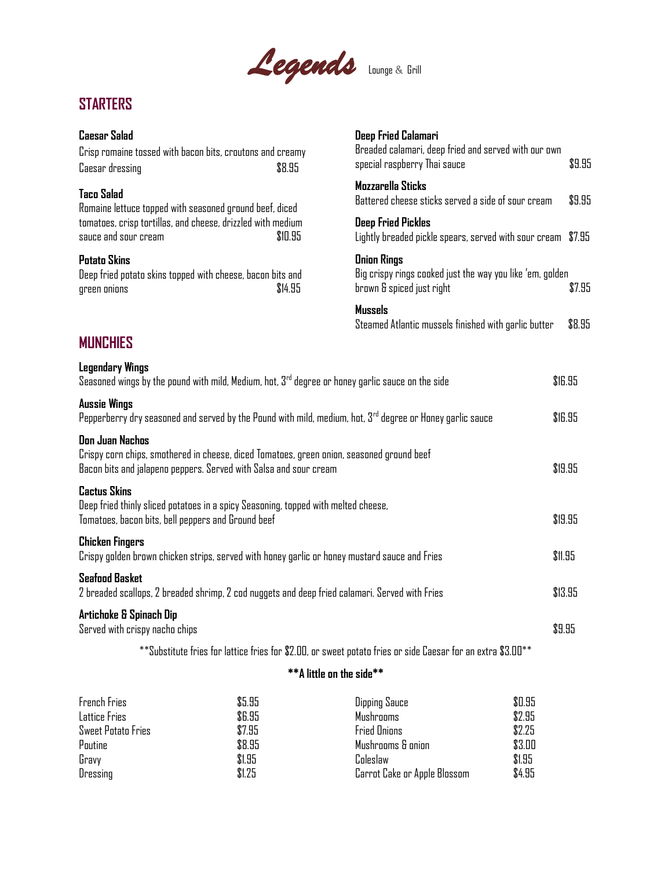

## **STARTERS**

## **Caesar Salad**

| <b>Caesar Salad</b><br>Crisp romaine tossed with bacon bits, croutons and creamy<br>Caesar dressing                                                                                      | \$8.95                                                                                                                                                                                | Deep Fried Calamari<br>Breaded calamari, deep fried and served with our own<br>\$9.95<br>special raspberry Thai sauce |         |
|------------------------------------------------------------------------------------------------------------------------------------------------------------------------------------------|---------------------------------------------------------------------------------------------------------------------------------------------------------------------------------------|-----------------------------------------------------------------------------------------------------------------------|---------|
| <b>Taco Salad</b><br>Romaine lettuce topped with seasoned ground beef, diced                                                                                                             |                                                                                                                                                                                       | Mozzarella Sticks<br>Battered cheese sticks served a side of sour cream                                               |         |
| tomatoes, crisp tortillas, and cheese, drizzled with medium<br>sauce and sour cream                                                                                                      | \$10.95                                                                                                                                                                               | <b>Deep Fried Pickles</b><br>Lightly breaded pickle spears, served with sour cream \$7.95                             |         |
| <b>Potato Skins</b><br>green onions                                                                                                                                                      | <b>Onion Rings</b><br>Big crispy rings cooked just the way you like 'em, golden<br>Deep fried potato skins topped with cheese, bacon bits and<br>brown & spiced just right<br>\$14.95 |                                                                                                                       | \$7.95  |
|                                                                                                                                                                                          |                                                                                                                                                                                       | <b>Mussels</b><br>Steamed Atlantic mussels finished with garlic butter                                                | \$8.95  |
| <b>MUNCHIES</b>                                                                                                                                                                          |                                                                                                                                                                                       |                                                                                                                       |         |
| <b>Legendary Wings</b><br>Seasoned wings by the pound with mild, Medium, hot, $3rd$ degree or honey garlic sauce on the side                                                             |                                                                                                                                                                                       |                                                                                                                       | \$16.95 |
| <b>Aussie Wings</b><br>Pepperberry dry seasoned and served by the Pound with mild, medium, hot, $3^{rd}$ degree or Honey garlic sauce                                                    |                                                                                                                                                                                       |                                                                                                                       | \$16.95 |
| <b>Don Juan Nachos</b><br>Crispy corn chips, smothered in cheese, diced Tomatoes, green onion, seasoned ground beef<br>Bacon bits and jalapeno peppers. Served with Salsa and sour cream |                                                                                                                                                                                       |                                                                                                                       | \$19.95 |
| <b>Cactus Skins</b><br>Deep fried thinly sliced potatoes in a spicy Seasoning, topped with melted cheese,<br>Tomatoes, bacon bits, bell peppers and Ground beef                          |                                                                                                                                                                                       |                                                                                                                       | \$19.95 |
| <b>Chicken Fingers</b><br>Crispy golden brown chicken strips, served with honey garlic or honey mustard sauce and Fries                                                                  |                                                                                                                                                                                       |                                                                                                                       | \$11.95 |
| <b>Seafood Basket</b><br>2 breaded scallops, 2 breaded shrimp, 2 cod nuggets and deep fried calamari. Served with Fries                                                                  |                                                                                                                                                                                       |                                                                                                                       | \$13.95 |
| Artichoke & Spinach Dip<br>Served with crispy nacho chips                                                                                                                                |                                                                                                                                                                                       |                                                                                                                       | \$9.95  |
|                                                                                                                                                                                          |                                                                                                                                                                                       | **Substitute fries for lattice fries for \$2.00, or sweet potato fries or side Caesar for an extra \$3.00**           |         |
|                                                                                                                                                                                          | **A little on the side**                                                                                                                                                              |                                                                                                                       |         |
|                                                                                                                                                                                          |                                                                                                                                                                                       |                                                                                                                       |         |

| French Fries       | \$5.95 | Dipping Sauce                | \$0.95 |
|--------------------|--------|------------------------------|--------|
| Lattice Fries      | \$6.95 | Mushrooms                    | \$2.95 |
| Sweet Potato Fries | \$7.95 | <b>Fried Onions</b>          | \$2.25 |
| Poutine            | \$8.95 | Mushrooms & onion            | \$3.00 |
| Gravy              | \$1.95 | Coleslaw                     | \$1.95 |
| Dressing           | \$1.25 | Carrot Cake or Apple Blossom | \$4.95 |